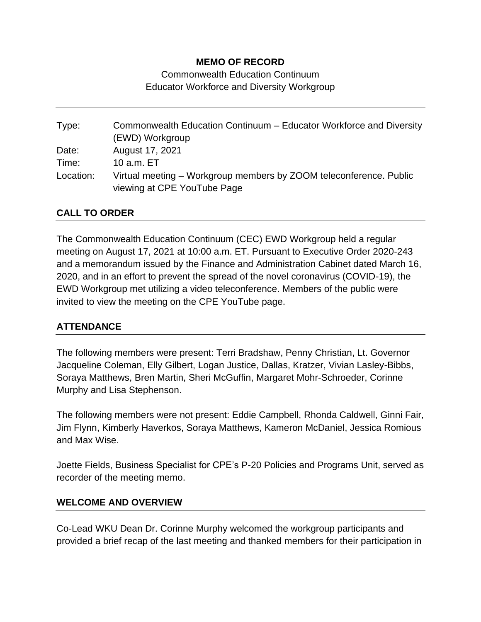## **MEMO OF RECORD**

Commonwealth Education Continuum Educator Workforce and Diversity Workgroup

Type: Commonwealth Education Continuum – Educator Workforce and Diversity (EWD) Workgroup Date: August 17, 2021 Time: 10 a.m. ET Location: Virtual meeting – Workgroup members by ZOOM teleconference. Public viewing at CPE YouTube Page

## **CALL TO ORDER**

The Commonwealth Education Continuum (CEC) EWD Workgroup held a regular meeting on August 17, 2021 at 10:00 a.m. ET. Pursuant to Executive Order 2020-243 and a memorandum issued by the Finance and Administration Cabinet dated March 16, 2020, and in an effort to prevent the spread of the novel coronavirus (COVID-19), the EWD Workgroup met utilizing a video teleconference. Members of the public were invited to view the meeting on the CPE YouTube page.

## **ATTENDANCE**

The following members were present: Terri Bradshaw, Penny Christian, Lt. Governor Jacqueline Coleman, Elly Gilbert, Logan Justice, Dallas, Kratzer, Vivian Lasley-Bibbs, Soraya Matthews, Bren Martin, Sheri McGuffin, Margaret Mohr-Schroeder, Corinne Murphy and Lisa Stephenson.

The following members were not present: Eddie Campbell, Rhonda Caldwell, Ginni Fair, Jim Flynn, Kimberly Haverkos, Soraya Matthews, Kameron McDaniel, Jessica Romious and Max Wise.

Joette Fields, Business Specialist for CPE's P-20 Policies and Programs Unit, served as recorder of the meeting memo.

#### **WELCOME AND OVERVIEW**

Co-Lead WKU Dean Dr. Corinne Murphy welcomed the workgroup participants and provided a brief recap of the last meeting and thanked members for their participation in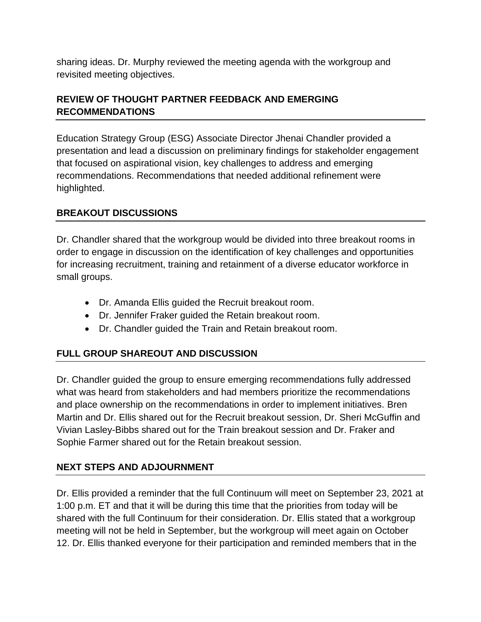sharing ideas. Dr. Murphy reviewed the meeting agenda with the workgroup and revisited meeting objectives.

# **REVIEW OF THOUGHT PARTNER FEEDBACK AND EMERGING RECOMMENDATIONS**

Education Strategy Group (ESG) Associate Director Jhenai Chandler provided a presentation and lead a discussion on preliminary findings for stakeholder engagement that focused on aspirational vision, key challenges to address and emerging recommendations. Recommendations that needed additional refinement were highlighted.

# **BREAKOUT DISCUSSIONS**

Dr. Chandler shared that the workgroup would be divided into three breakout rooms in order to engage in discussion on the identification of key challenges and opportunities for increasing recruitment, training and retainment of a diverse educator workforce in small groups.

- Dr. Amanda Ellis guided the Recruit breakout room.
- Dr. Jennifer Fraker guided the Retain breakout room.
- Dr. Chandler guided the Train and Retain breakout room.

## **FULL GROUP SHAREOUT AND DISCUSSION**

Dr. Chandler guided the group to ensure emerging recommendations fully addressed what was heard from stakeholders and had members prioritize the recommendations and place ownership on the recommendations in order to implement initiatives. Bren Martin and Dr. Ellis shared out for the Recruit breakout session, Dr. Sheri McGuffin and Vivian Lasley-Bibbs shared out for the Train breakout session and Dr. Fraker and Sophie Farmer shared out for the Retain breakout session.

## **NEXT STEPS AND ADJOURNMENT**

Dr. Ellis provided a reminder that the full Continuum will meet on September 23, 2021 at 1:00 p.m. ET and that it will be during this time that the priorities from today will be shared with the full Continuum for their consideration. Dr. Ellis stated that a workgroup meeting will not be held in September, but the workgroup will meet again on October 12. Dr. Ellis thanked everyone for their participation and reminded members that in the